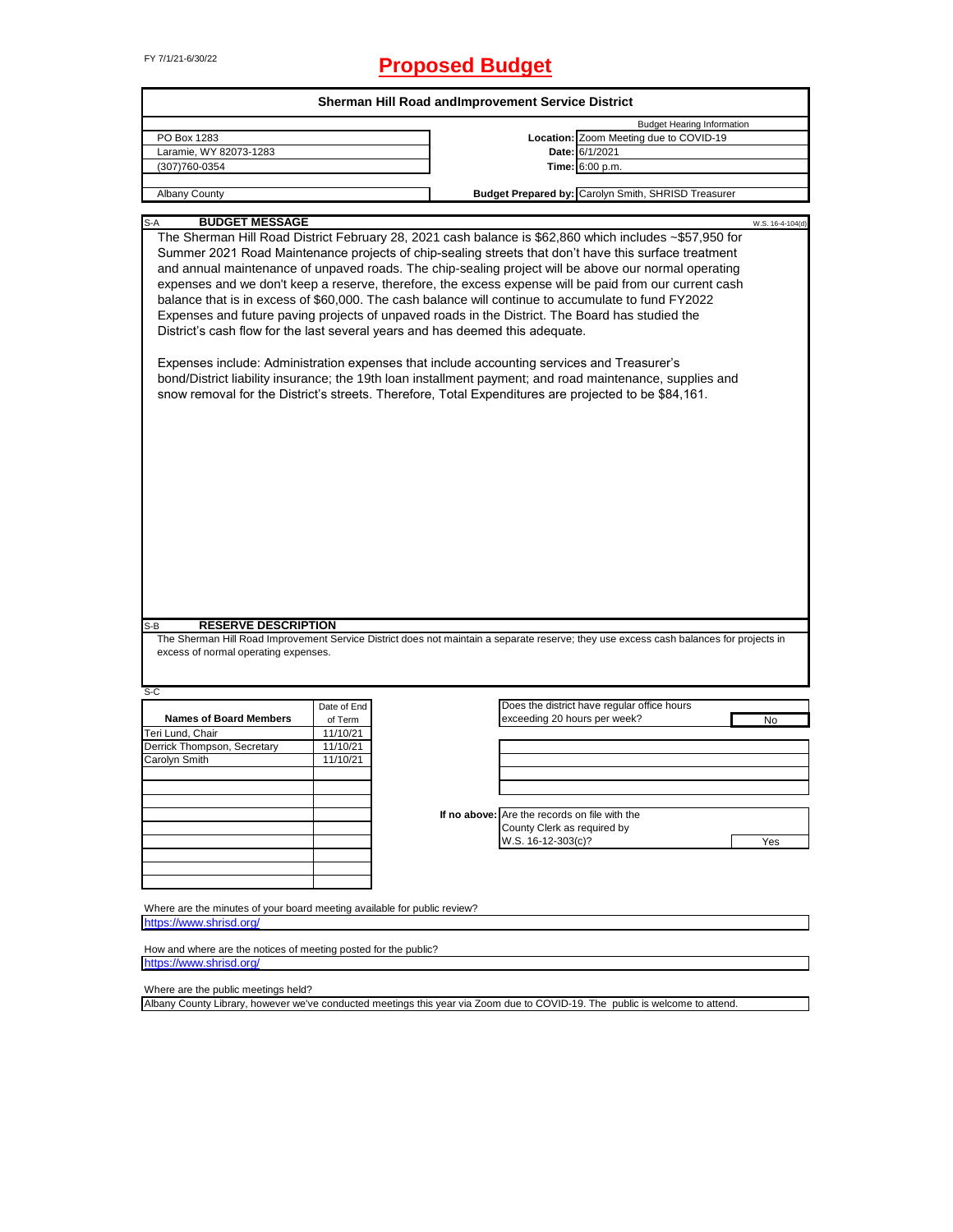# FY 7/1/21-6/30/22 **Proposed Budget**

| PO Box 1283                                                                                          |             | Sherman Hill Road and Improvement Service District |                                               |                                                                                                                                        |                  |
|------------------------------------------------------------------------------------------------------|-------------|----------------------------------------------------|-----------------------------------------------|----------------------------------------------------------------------------------------------------------------------------------------|------------------|
|                                                                                                      |             |                                                    |                                               | <b>Budget Hearing Information</b>                                                                                                      |                  |
|                                                                                                      |             |                                                    |                                               | Location: Zoom Meeting due to COVID-19                                                                                                 |                  |
| Laramie, WY 82073-1283                                                                               |             |                                                    |                                               | Date: 6/1/2021                                                                                                                         |                  |
| (307)760-0354                                                                                        |             |                                                    |                                               | Time: 6:00 p.m.                                                                                                                        |                  |
| <b>Albany County</b>                                                                                 |             |                                                    |                                               | Budget Prepared by: Carolyn Smith, SHRISD Treasurer                                                                                    |                  |
| <b>BUDGET MESSAGE</b><br>S-A                                                                         |             |                                                    |                                               |                                                                                                                                        |                  |
|                                                                                                      |             |                                                    |                                               | The Sherman Hill Road District February 28, 2021 cash balance is \$62,860 which includes ~\$57,950 for                                 | W.S. 16-4-104(d) |
|                                                                                                      |             |                                                    |                                               | Summer 2021 Road Maintenance projects of chip-sealing streets that don't have this surface treatment                                   |                  |
|                                                                                                      |             |                                                    |                                               |                                                                                                                                        |                  |
|                                                                                                      |             |                                                    |                                               | and annual maintenance of unpaved roads. The chip-sealing project will be above our normal operating                                   |                  |
|                                                                                                      |             |                                                    |                                               | expenses and we don't keep a reserve, therefore, the excess expense will be paid from our current cash                                 |                  |
| balance that is in excess of \$60,000. The cash balance will continue to accumulate to fund FY2022   |             |                                                    |                                               |                                                                                                                                        |                  |
| Expenses and future paving projects of unpaved roads in the District. The Board has studied the      |             |                                                    |                                               |                                                                                                                                        |                  |
| District's cash flow for the last several years and has deemed this adequate.                        |             |                                                    |                                               |                                                                                                                                        |                  |
|                                                                                                      |             |                                                    |                                               |                                                                                                                                        |                  |
| Expenses include: Administration expenses that include accounting services and Treasurer's           |             |                                                    |                                               |                                                                                                                                        |                  |
|                                                                                                      |             |                                                    |                                               | bond/District liability insurance; the 19th loan installment payment; and road maintenance, supplies and                               |                  |
| snow removal for the District's streets. Therefore, Total Expenditures are projected to be \$84,161. |             |                                                    |                                               |                                                                                                                                        |                  |
|                                                                                                      |             |                                                    |                                               |                                                                                                                                        |                  |
|                                                                                                      |             |                                                    |                                               |                                                                                                                                        |                  |
|                                                                                                      |             |                                                    |                                               |                                                                                                                                        |                  |
|                                                                                                      |             |                                                    |                                               |                                                                                                                                        |                  |
|                                                                                                      |             |                                                    |                                               |                                                                                                                                        |                  |
|                                                                                                      |             |                                                    |                                               |                                                                                                                                        |                  |
|                                                                                                      |             |                                                    |                                               |                                                                                                                                        |                  |
|                                                                                                      |             |                                                    |                                               |                                                                                                                                        |                  |
|                                                                                                      |             |                                                    |                                               |                                                                                                                                        |                  |
|                                                                                                      |             |                                                    |                                               |                                                                                                                                        |                  |
|                                                                                                      |             |                                                    |                                               |                                                                                                                                        |                  |
|                                                                                                      |             |                                                    |                                               |                                                                                                                                        |                  |
|                                                                                                      |             |                                                    |                                               |                                                                                                                                        |                  |
|                                                                                                      |             |                                                    |                                               |                                                                                                                                        |                  |
|                                                                                                      |             |                                                    |                                               |                                                                                                                                        |                  |
|                                                                                                      |             |                                                    |                                               |                                                                                                                                        |                  |
| <b>RESERVE DESCRIPTION</b><br>S-B                                                                    |             |                                                    |                                               |                                                                                                                                        |                  |
|                                                                                                      |             |                                                    |                                               | The Sherman Hill Road Improvement Service District does not maintain a separate reserve; they use excess cash balances for projects in |                  |
| excess of normal operating expenses.                                                                 |             |                                                    |                                               |                                                                                                                                        |                  |
|                                                                                                      |             |                                                    |                                               |                                                                                                                                        |                  |
|                                                                                                      |             |                                                    |                                               |                                                                                                                                        |                  |
| S-C                                                                                                  |             |                                                    |                                               |                                                                                                                                        |                  |
|                                                                                                      | Date of End |                                                    |                                               | Does the district have regular office hours                                                                                            |                  |
| <b>Names of Board Members</b>                                                                        | of Term     |                                                    | exceeding 20 hours per week?                  |                                                                                                                                        | No               |
| Teri Lund, Chair                                                                                     | 11/10/21    |                                                    |                                               |                                                                                                                                        |                  |
| Derrick Thompson, Secretary                                                                          | 11/10/21    |                                                    |                                               |                                                                                                                                        |                  |
| Carolyn Smith                                                                                        | 11/10/21    |                                                    |                                               |                                                                                                                                        |                  |
|                                                                                                      |             |                                                    |                                               |                                                                                                                                        |                  |
|                                                                                                      |             |                                                    |                                               |                                                                                                                                        |                  |
|                                                                                                      |             |                                                    |                                               |                                                                                                                                        |                  |
|                                                                                                      |             |                                                    | If no above: Are the records on file with the |                                                                                                                                        |                  |
|                                                                                                      |             |                                                    | County Clerk as required by                   |                                                                                                                                        |                  |
|                                                                                                      |             |                                                    | W.S. 16-12-303(c)?                            |                                                                                                                                        | Yes              |
|                                                                                                      |             |                                                    |                                               |                                                                                                                                        |                  |
|                                                                                                      |             |                                                    |                                               |                                                                                                                                        |                  |
|                                                                                                      |             |                                                    |                                               |                                                                                                                                        |                  |
| Where are the minutes of your board meeting available for public review?                             |             |                                                    |                                               |                                                                                                                                        |                  |

How and where are the notices of meeting posted for the public? [https://www](https://www.shrisd.org/).shrisd.org/

Where are the public meetings held?

Albany County Library, however we've conducted meetings this year via Zoom due to COVID-19. The public is welcome to attend.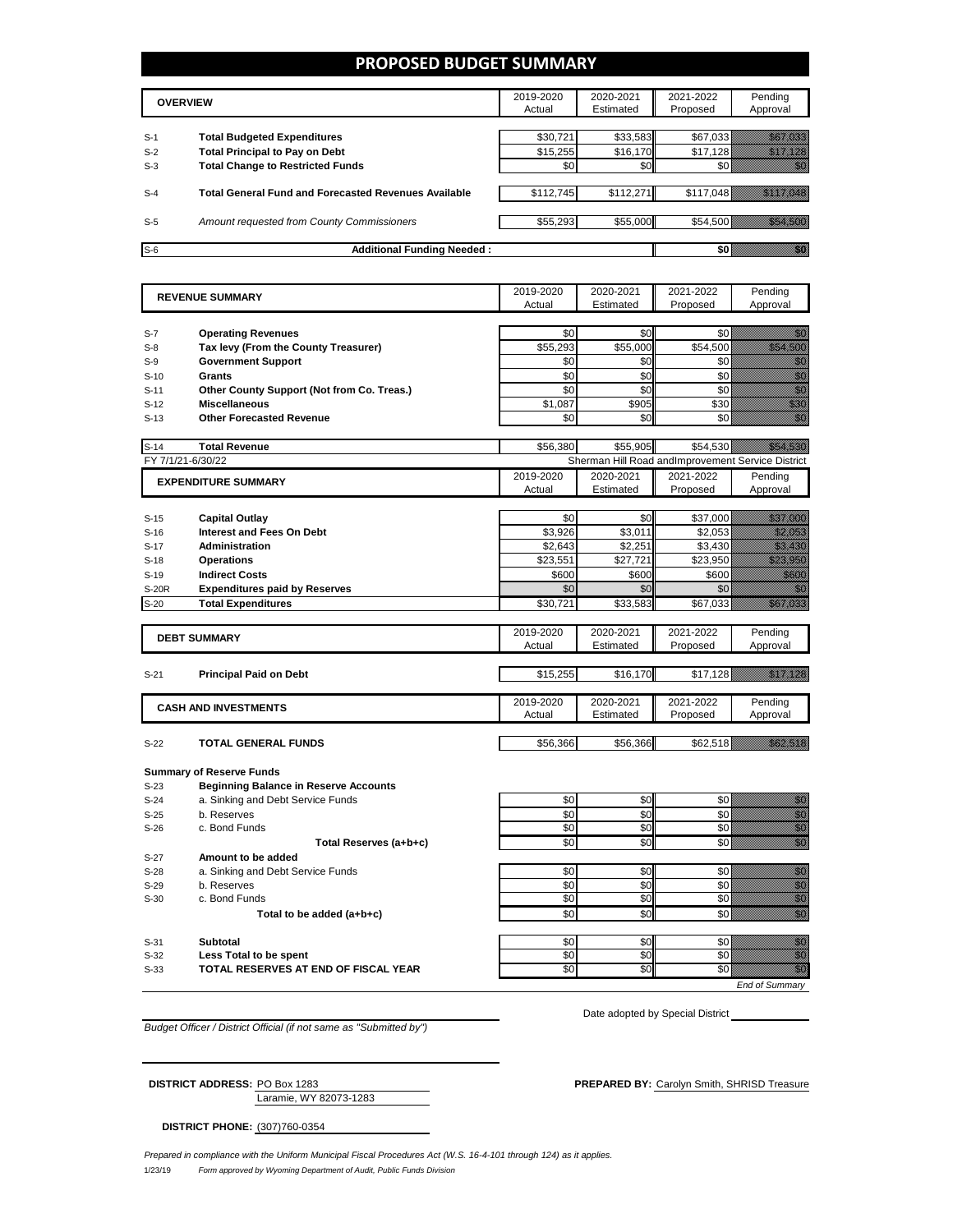#### **PROPOSED BUDGET SUMMARY**

|       | <b>OVERVIEW</b>                                             | 2019-2020<br>Actual | 2020-2021<br>Estimated | 2021-2022<br>Proposed | Pending<br>Approval |
|-------|-------------------------------------------------------------|---------------------|------------------------|-----------------------|---------------------|
| $S-1$ | <b>Total Budgeted Expenditures</b>                          | \$30,721            | \$33,583               | \$67,033              |                     |
| $S-2$ | <b>Total Principal to Pay on Debt</b>                       | \$15,255            | \$16,170               | \$17.128              |                     |
| $S-3$ | <b>Total Change to Restricted Funds</b>                     | \$0                 | \$0                    |                       |                     |
|       |                                                             |                     |                        |                       |                     |
| $S-4$ | <b>Total General Fund and Forecasted Revenues Available</b> | \$112,745           | \$112,271              | \$117,048             |                     |
|       |                                                             |                     |                        |                       |                     |
| $S-5$ | Amount requested from County Commissioners                  | \$55,293            | \$55,000               |                       | \$54.500            |
|       |                                                             |                     |                        |                       |                     |
| $S-6$ | <b>Additional Funding Needed:</b>                           |                     |                        | SO I                  |                     |

| <b>REVENUE SUMMARY</b> |                                              | 2019-2020           | 2020-2021              | 2021-2022                                         | Pending                                                                                                                                                                                                                                                                                                                                                                                                                                                            |
|------------------------|----------------------------------------------|---------------------|------------------------|---------------------------------------------------|--------------------------------------------------------------------------------------------------------------------------------------------------------------------------------------------------------------------------------------------------------------------------------------------------------------------------------------------------------------------------------------------------------------------------------------------------------------------|
|                        |                                              | Actual              | Estimated              | Proposed                                          | Approval                                                                                                                                                                                                                                                                                                                                                                                                                                                           |
|                        |                                              |                     |                        |                                                   |                                                                                                                                                                                                                                                                                                                                                                                                                                                                    |
| $S-7$<br>$S-8$         | <b>Operating Revenues</b>                    | \$0<br>\$55,293     | \$0<br>\$55,000        | \$0<br>\$54,500                                   | en de la familie de la familie de la familie de la familie de la familie de la familie de la familie de la fam<br>De la familie de la familie de la familie de la familie de la familie de la familie de la familie de la famili<br><u>tionalisti ku</u>                                                                                                                                                                                                           |
|                        | Tax levy (From the County Treasurer)         | \$0                 | \$0                    | \$0                                               |                                                                                                                                                                                                                                                                                                                                                                                                                                                                    |
| $S-9$                  | <b>Government Support</b>                    |                     |                        |                                                   | en de la familie de la familie de la familie de la familie de la familie de la familie de la familie de la fa<br>Concelho de la familie de la familie de la familie de la familie de la familie de la familie de la familie de<br>en de la familie de la familie de la familie de la familie de la familie de la familie de la familie de la fam<br>Constituit de la familie de la familie de la familie de la familie de la familie de la familie de la familie d |
| $S-10$                 | <b>Grants</b>                                | \$0                 | \$0                    | \$0<br>\$0                                        | en de la familie de la familie de la familie de la familie de la familie de la familie de la familie de la fam<br>Constitution de la familie de la familie de la familie de la familie de la familie de la familie de la familie                                                                                                                                                                                                                                   |
| $S-11$                 | Other County Support (Not from Co. Treas.)   | \$0                 | \$0                    |                                                   | en de la facta de la facta de la facta de la facta de la facta de la facta de la facta de la facta de la facta<br>Espaina de la facta de la facta de la facta de la facta de la facta de la facta de la facta de la facta de la                                                                                                                                                                                                                                    |
| $S-12$                 | <b>Miscellaneous</b>                         | \$1,087             | \$905                  | \$30                                              |                                                                                                                                                                                                                                                                                                                                                                                                                                                                    |
| $S-13$                 | <b>Other Forecasted Revenue</b>              | \$0                 | \$0                    | \$0                                               | en de la filosofia<br>Monte                                                                                                                                                                                                                                                                                                                                                                                                                                        |
| $S-14$                 | <b>Total Revenue</b>                         | \$56.380            | \$55.905               | \$54.530                                          | <u> Timografiya ya kuma a shekara ta 1999 ya shekara ta 1999 ya shekara ta 1999 ya shekara ta 1999 ya shekara ta </u>                                                                                                                                                                                                                                                                                                                                              |
|                        | FY 7/1/21-6/30/22                            |                     |                        | Sherman Hill Road andImprovement Service District |                                                                                                                                                                                                                                                                                                                                                                                                                                                                    |
|                        | <b>EXPENDITURE SUMMARY</b>                   | 2019-2020           | 2020-2021              | 2021-2022                                         | Pending                                                                                                                                                                                                                                                                                                                                                                                                                                                            |
|                        |                                              | Actual              | Estimated              | Proposed                                          | Approval                                                                                                                                                                                                                                                                                                                                                                                                                                                           |
|                        |                                              |                     |                        |                                                   |                                                                                                                                                                                                                                                                                                                                                                                                                                                                    |
| $S-15$                 | <b>Capital Outlay</b>                        | \$0                 | \$0                    | \$37,000                                          | <u>Samara</u>                                                                                                                                                                                                                                                                                                                                                                                                                                                      |
| $S-16$                 | <b>Interest and Fees On Debt</b>             | \$3,926             | \$3,011                | \$2,053                                           | <u>Maritim Sa</u>                                                                                                                                                                                                                                                                                                                                                                                                                                                  |
| $S-17$                 | <b>Administration</b>                        | \$2,643             | \$2,251                | \$3,430                                           | <u>ili ku</u>                                                                                                                                                                                                                                                                                                                                                                                                                                                      |
| $S-18$                 | <b>Operations</b>                            | \$23,551            | \$27,721               | \$23,950                                          | <u>Maria San</u>                                                                                                                                                                                                                                                                                                                                                                                                                                                   |
| $S-19$                 | <b>Indirect Costs</b>                        | \$600               | \$600                  | \$600                                             | <u> Mille Sa</u>                                                                                                                                                                                                                                                                                                                                                                                                                                                   |
| S-20R                  | <b>Expenditures paid by Reserves</b>         | \$0                 | \$0                    | \$0                                               | nisia.<br>Manazarta                                                                                                                                                                                                                                                                                                                                                                                                                                                |
| $S-20$                 | <b>Total Expenditures</b>                    | \$30,721            | \$33,583               | \$67,033                                          | <u>isali ka</u>                                                                                                                                                                                                                                                                                                                                                                                                                                                    |
|                        |                                              |                     |                        |                                                   |                                                                                                                                                                                                                                                                                                                                                                                                                                                                    |
|                        | <b>DEBT SUMMARY</b>                          | 2019-2020<br>Actual | 2020-2021<br>Estimated | 2021-2022<br>Proposed                             | Pending<br>Approval                                                                                                                                                                                                                                                                                                                                                                                                                                                |
|                        |                                              |                     |                        |                                                   |                                                                                                                                                                                                                                                                                                                                                                                                                                                                    |
| $S-21$                 | <b>Principal Paid on Debt</b>                | \$15,255            | \$16,170               | \$17,128                                          | <u> Karlin Maria Sant</u>                                                                                                                                                                                                                                                                                                                                                                                                                                          |
|                        |                                              |                     |                        |                                                   |                                                                                                                                                                                                                                                                                                                                                                                                                                                                    |
|                        | <b>CASH AND INVESTMENTS</b>                  | 2019-2020           | 2020-2021              | 2021-2022                                         | Pending                                                                                                                                                                                                                                                                                                                                                                                                                                                            |
|                        |                                              | Actual              | Estimated              | Proposed                                          | Approval                                                                                                                                                                                                                                                                                                                                                                                                                                                           |
|                        |                                              |                     |                        |                                                   |                                                                                                                                                                                                                                                                                                                                                                                                                                                                    |
| $S-22$                 | <b>TOTAL GENERAL FUNDS</b>                   | \$56,366            | \$56,366               | \$62,518                                          | <u>istorian e</u>                                                                                                                                                                                                                                                                                                                                                                                                                                                  |
|                        | <b>Summary of Reserve Funds</b>              |                     |                        |                                                   |                                                                                                                                                                                                                                                                                                                                                                                                                                                                    |
| $S-23$                 | <b>Beginning Balance in Reserve Accounts</b> |                     |                        |                                                   |                                                                                                                                                                                                                                                                                                                                                                                                                                                                    |
| $S-24$                 | a. Sinking and Debt Service Funds            | \$0                 | \$0                    | \$0                                               | en de la familie de la familie de la familie de la familie de la familie de la familie de la familie de la fam<br>Constitution de la familie de la familie de la familie de la familie de la familie de la familie de la familie                                                                                                                                                                                                                                   |
| $S-25$                 | b. Reserves                                  | \$0                 | \$0                    | \$0                                               |                                                                                                                                                                                                                                                                                                                                                                                                                                                                    |
| $S-26$                 | c. Bond Funds                                | \$0                 | \$0                    | \$0                                               | e de la composición de la composición de la composición de la composición de la composición de la composición<br>Campo de la composición de la composición de la composición de la composición de la composición de la composic                                                                                                                                                                                                                                    |
|                        | Total Reserves (a+b+c)                       | \$0                 | \$0                    | \$0                                               | en de la familie de la familie de la familie de la familie de la familie de la familie de la familie de la fa<br>Constitution de la familie de la familie de la familie de la familie de la familie de la familie de la familie                                                                                                                                                                                                                                    |
| $S-27$                 | Amount to be added                           |                     |                        |                                                   |                                                                                                                                                                                                                                                                                                                                                                                                                                                                    |
| $S-28$                 | a. Sinking and Debt Service Funds            | \$0                 | \$0                    | \$0                                               | en de la falsa de la falsa de la falsa de la falsa de la falsa de la falsa de la falsa de la falsa de la falsa<br>El falsa de la falsa de la falsa de la falsa de la falsa de la falsa de la falsa de la falsa de la falsa de la                                                                                                                                                                                                                                   |
| $S-29$                 | b. Reserves                                  | \$0                 | \$0                    | \$0                                               | en de la familie de la familie de la familie de la familie de la familie de la familie de la familie de la fam<br>Estat de la familie de la familie de la familie de la familie de la familie de la familie de la familie de la                                                                                                                                                                                                                                    |
| $S-30$                 | c. Bond Funds                                | \$0                 | \$0                    | \$0                                               | anna<br>Màrtai                                                                                                                                                                                                                                                                                                                                                                                                                                                     |
|                        | Total to be added (a+b+c)                    | \$0                 | \$0                    | \$0                                               | en de la filosofia<br>Altres de la filòlogía                                                                                                                                                                                                                                                                                                                                                                                                                       |
|                        |                                              |                     |                        |                                                   |                                                                                                                                                                                                                                                                                                                                                                                                                                                                    |
|                        |                                              |                     |                        |                                                   |                                                                                                                                                                                                                                                                                                                                                                                                                                                                    |
| $S-31$                 | <b>Subtotal</b>                              | \$0                 | \$0                    | \$0                                               |                                                                                                                                                                                                                                                                                                                                                                                                                                                                    |
| $S-32$                 | Less Total to be spent                       | \$0                 | \$0                    | \$0                                               | e de la construcción de la construcción de la construcción de la construcción de la construcción de la constru                                                                                                                                                                                                                                                                                                                                                     |
| $S-33$                 | TOTAL RESERVES AT END OF FISCAL YEAR         | \$0                 | SO                     | \$0                                               | en de la falsa de la falsa de la falsa de la falsa de la falsa de la falsa de la falsa de la falsa de la falsa<br>El falsa de la falsa de la falsa de la falsa de la falsa de la falsa de la falsa de la falsa de la falsa de la                                                                                                                                                                                                                                   |

*Budget Officer / District Official (if not same as "Submitted by")*

**DISTRICT ADDRESS:** PREPARED BY: Carolyn Smith, SHRISD Treasure<br> **DISTRICT:** PREPARED BY: Carolyn Smith, SHRISD Treasure

Date adopted by Special District \_\_

| <b>DISTRICT ADDRESS: PO Box 1283</b> |                        |
|--------------------------------------|------------------------|
|                                      | Laramie, WY 82073-1283 |

**DISTRICT PHONE:** (307)760-0354

1/23/19 *Form approved by Wyoming Department of Audit, Public Funds Division Prepared in compliance with the Uniform Municipal Fiscal Procedures Act (W.S. 16-4-101 through 124) as it applies.*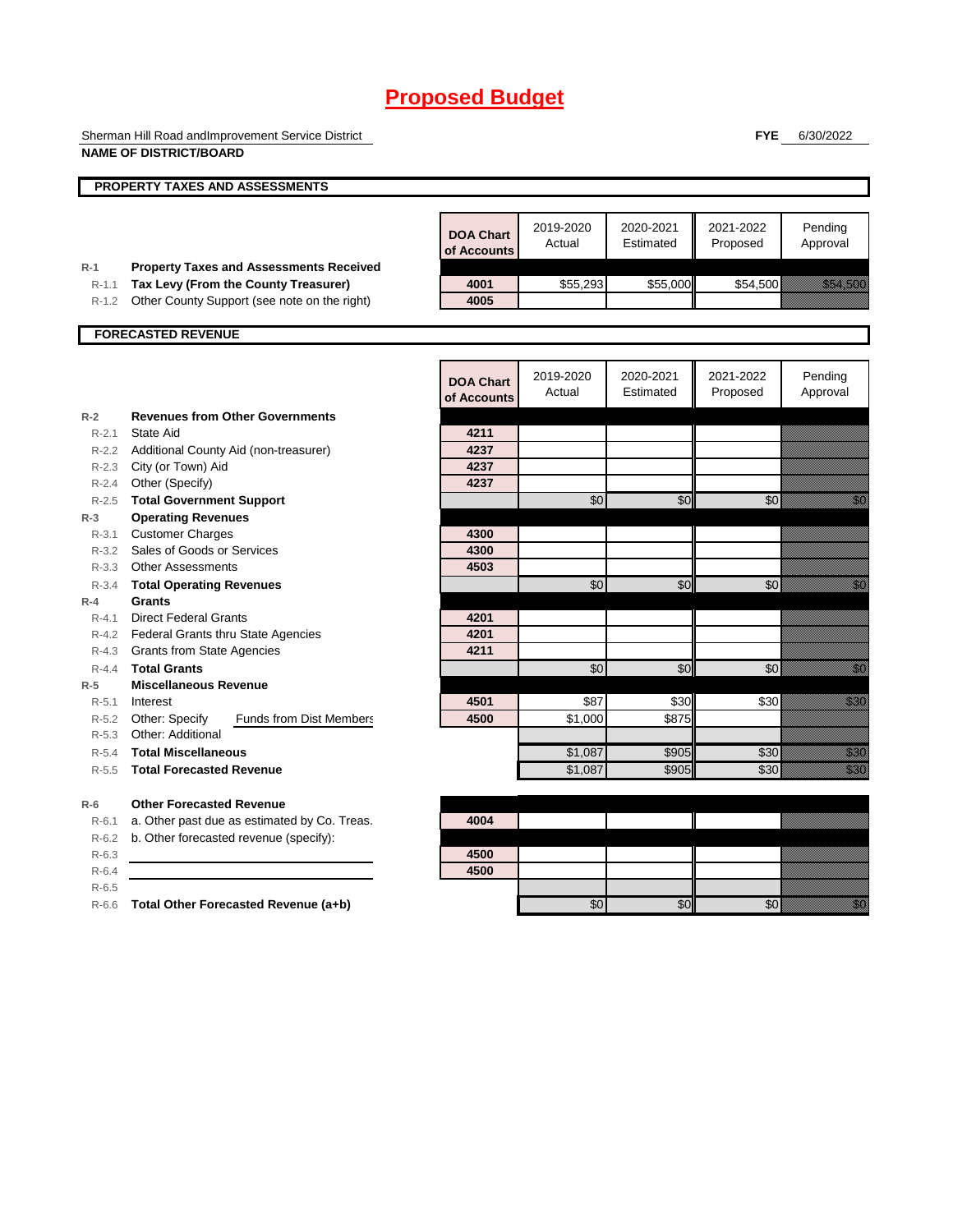Sherman Hill Road andImprovement Service District **NAME OF DISTRICT/BOARD**

**FYE** 6/30/2022

|                    | NAME OF DISTRICT/BOARD                                                |                                 |                     |                        |                       |                                                                                                                                                                                                                                  |
|--------------------|-----------------------------------------------------------------------|---------------------------------|---------------------|------------------------|-----------------------|----------------------------------------------------------------------------------------------------------------------------------------------------------------------------------------------------------------------------------|
|                    | <b>PROPERTY TAXES AND ASSESSMENTS</b>                                 |                                 |                     |                        |                       |                                                                                                                                                                                                                                  |
|                    |                                                                       |                                 |                     |                        |                       |                                                                                                                                                                                                                                  |
|                    |                                                                       | <b>DOA Chart</b><br>of Accounts | 2019-2020<br>Actual | 2020-2021<br>Estimated | 2021-2022<br>Proposed | Pending<br>Approval                                                                                                                                                                                                              |
| $R-1$              | <b>Property Taxes and Assessments Received</b>                        |                                 |                     |                        |                       |                                                                                                                                                                                                                                  |
| $R - 1.1$          | Tax Levy (From the County Treasurer)                                  | 4001                            | \$55,293            | \$55,000               | \$54,500              | <u> Kabupatèn T</u>                                                                                                                                                                                                              |
| $R-1.2$            | Other County Support (see note on the right)                          | 4005                            |                     |                        |                       |                                                                                                                                                                                                                                  |
|                    | <b>FORECASTED REVENUE</b>                                             |                                 |                     |                        |                       |                                                                                                                                                                                                                                  |
|                    |                                                                       |                                 |                     |                        |                       |                                                                                                                                                                                                                                  |
|                    |                                                                       | <b>DOA Chart</b><br>of Accounts | 2019-2020<br>Actual | 2020-2021<br>Estimated | 2021-2022<br>Proposed | Pending<br>Approval                                                                                                                                                                                                              |
| $R-2$              | <b>Revenues from Other Governments</b>                                |                                 |                     |                        |                       |                                                                                                                                                                                                                                  |
| $R - 2.1$          | State Aid                                                             | 4211                            |                     |                        |                       |                                                                                                                                                                                                                                  |
|                    | R-2.2 Additional County Aid (non-treasurer)                           | 4237                            |                     |                        |                       |                                                                                                                                                                                                                                  |
|                    | R-2.3 City (or Town) Aid                                              | 4237                            |                     |                        |                       |                                                                                                                                                                                                                                  |
| R-2.4              | Other (Specify)                                                       | 4237                            |                     |                        |                       |                                                                                                                                                                                                                                  |
| $R - 2.5$          | <b>Total Government Support</b>                                       |                                 | \$0                 | \$0                    | \$0                   | en de la familie de la familie de la familie de la familie de la familie de la familie de la familie de la fam<br>De la familie de la familie de la familie de la familie de la familie de la familie de la familie de la famili |
| $R-3$              | <b>Operating Revenues</b>                                             |                                 |                     |                        |                       |                                                                                                                                                                                                                                  |
| $R - 3.1$          | <b>Customer Charges</b>                                               | 4300                            |                     |                        |                       |                                                                                                                                                                                                                                  |
| $R - 3.2$          | Sales of Goods or Services                                            | 4300                            |                     |                        |                       |                                                                                                                                                                                                                                  |
|                    | R-3.3 Other Assessments                                               | 4503                            |                     |                        |                       |                                                                                                                                                                                                                                  |
| $R - 3.4$          | <b>Total Operating Revenues</b>                                       |                                 | \$0                 | \$0                    | \$0                   |                                                                                                                                                                                                                                  |
| $R-4$              | Grants                                                                |                                 |                     |                        |                       |                                                                                                                                                                                                                                  |
| $R - 4.1$          | <b>Direct Federal Grants</b>                                          | 4201                            |                     |                        |                       |                                                                                                                                                                                                                                  |
|                    | R-4.2 Federal Grants thru State Agencies                              | 4201                            |                     |                        |                       |                                                                                                                                                                                                                                  |
|                    | R-4.3 Grants from State Agencies                                      | 4211                            |                     |                        |                       |                                                                                                                                                                                                                                  |
| $R - 4.4$          | <b>Total Grants</b><br><b>Miscellaneous Revenue</b>                   |                                 | \$0                 | $\overline{50}$        | \$0                   | en de la filosofia<br>Altres de la filosofia                                                                                                                                                                                     |
| $R-5$              |                                                                       |                                 |                     | \$30                   |                       |                                                                                                                                                                                                                                  |
| $R - 5.1$          | Interest                                                              | 4501<br>4500                    | \$87<br>\$1,000     | \$875                  | \$30                  | an dhe                                                                                                                                                                                                                           |
| R-5.2<br>$R - 5.3$ | Other: Specify<br><b>Funds from Dist Members</b><br>Other: Additional |                                 |                     |                        |                       |                                                                                                                                                                                                                                  |
| $R-5.4$            | <b>Total Miscellaneous</b>                                            |                                 |                     | \$905                  | \$30                  | en de la familie de la familie de la familie de la familie de la familie de la familie de la familie de la fa<br>Espainia                                                                                                        |
|                    |                                                                       |                                 | \$1,087             |                        |                       |                                                                                                                                                                                                                                  |
| $R-5.5$            | <b>Total Forecasted Revenue</b>                                       |                                 | \$1,087             | \$905                  | \$30                  | <u>till fra</u>                                                                                                                                                                                                                  |
| $R-6$              | <b>Other Forecasted Revenue</b>                                       |                                 |                     |                        |                       |                                                                                                                                                                                                                                  |
| $R-6.1$            | a. Other past due as estimated by Co. Treas.                          | 4004                            |                     |                        |                       |                                                                                                                                                                                                                                  |
| $R-6.2$            | b. Other forecasted revenue (specify):                                |                                 |                     |                        |                       |                                                                                                                                                                                                                                  |
| $R-6.3$            |                                                                       | 4500                            |                     |                        |                       |                                                                                                                                                                                                                                  |
| $R-6.4$            |                                                                       | 4500                            |                     |                        |                       |                                                                                                                                                                                                                                  |
| $R-6.5$            |                                                                       |                                 |                     |                        |                       |                                                                                                                                                                                                                                  |
| $R-6.6$            | Total Other Forecasted Revenue (a+b)                                  |                                 | \$0                 | \$0                    | \$0                   | en de la familie de la familie de la familie de la familie de la familie de la familie de la familie de la fa<br>Constitution de la familie de la familie de la familie de la familie de la familie de la familie de la familie  |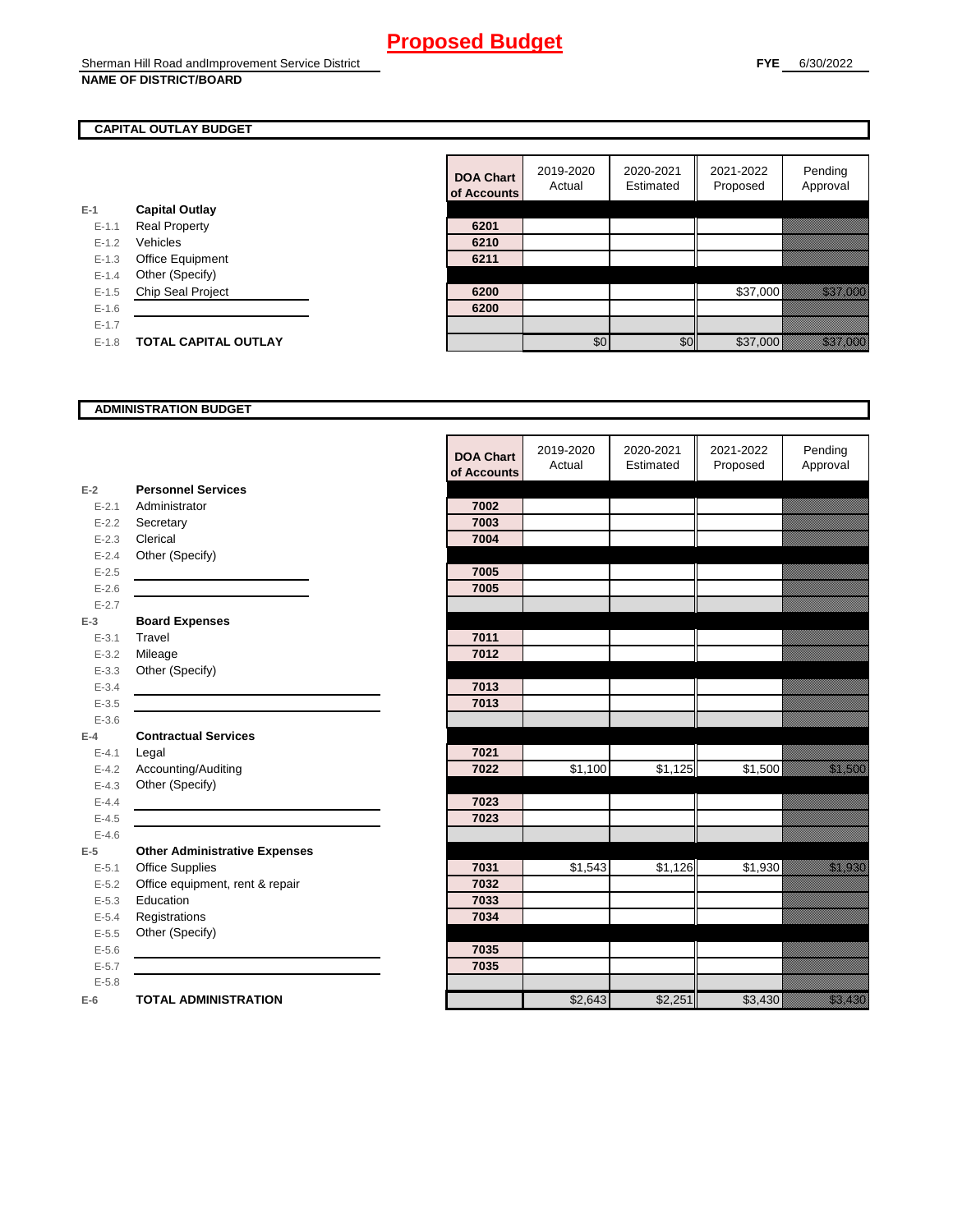#### **CAPITAL OUTLAY BUDGET**

| $E-1$     | <b>Capital Outlay</b>       |      |
|-----------|-----------------------------|------|
| $E - 1.1$ | <b>Real Property</b>        | 6201 |
| $E - 1.2$ | Vehicles                    | 6210 |
| $E-1.3$   | <b>Office Equipment</b>     | 6211 |
| $E - 1.4$ | Other (Specify)             |      |
| $E - 1.5$ | <b>Chip Seal Project</b>    | 6200 |
| $E-1.6$   |                             | 6200 |
| $E - 1.7$ |                             |      |
| $E - 1.8$ | <b>TOTAL CAPITAL OUTLAY</b> |      |
|           |                             |      |

|           |                             | <b>DOA Chart</b><br>of Accounts | 2019-2020<br>Actual | 2020-2021<br>Estimated | 2021-2022<br>Proposed | Pending<br>Approval       |
|-----------|-----------------------------|---------------------------------|---------------------|------------------------|-----------------------|---------------------------|
|           | <b>Capital Outlay</b>       |                                 |                     |                        |                       |                           |
| $E-1.1$   | <b>Real Property</b>        | 6201                            |                     |                        |                       |                           |
| $E - 1.2$ | Vehicles                    | 6210                            |                     |                        |                       |                           |
| $E-1.3$   | Office Equipment            | 6211                            |                     |                        |                       |                           |
| $E-1.4$   | Other (Specify)             |                                 |                     |                        |                       |                           |
| $E-1.5$   | Chip Seal Project           | 6200                            |                     |                        | \$37,000              | <u> Urillian de Carlo</u> |
| $E-1.6$   |                             | 6200                            |                     |                        |                       |                           |
| $E - 1.7$ |                             |                                 |                     |                        |                       |                           |
| $E-1.8$   | <b>TOTAL CAPITAL OUTLAY</b> |                                 | \$0                 | \$0                    | \$37,000              | <u> Hillinger i Sta</u>   |

#### **ADMINISTRATION BUDGET**

|           |                                      | <b>DOA Chart</b><br>of Accounts | 2019-2020<br>Actual | 2020-2021<br>Estimated | 2021-2022<br>Proposed | Pending<br>Approval                                                                                                  |
|-----------|--------------------------------------|---------------------------------|---------------------|------------------------|-----------------------|----------------------------------------------------------------------------------------------------------------------|
| $E-2$     | <b>Personnel Services</b>            |                                 |                     |                        |                       |                                                                                                                      |
| $E - 2.1$ | Administrator                        | 7002                            |                     |                        |                       |                                                                                                                      |
| $E - 2.2$ | Secretary                            | 7003                            |                     |                        |                       |                                                                                                                      |
| $E - 2.3$ | Clerical                             | 7004                            |                     |                        |                       |                                                                                                                      |
| $E - 2.4$ | Other (Specify)                      |                                 |                     |                        |                       |                                                                                                                      |
| $E-2.5$   |                                      | 7005                            |                     |                        |                       |                                                                                                                      |
| $E - 2.6$ |                                      | 7005                            |                     |                        |                       |                                                                                                                      |
| $E - 2.7$ |                                      |                                 |                     |                        |                       |                                                                                                                      |
| $E-3$     | <b>Board Expenses</b>                |                                 |                     |                        |                       |                                                                                                                      |
| $E - 3.1$ | Travel                               | 7011                            |                     |                        |                       |                                                                                                                      |
| $E - 3.2$ | Mileage                              | 7012                            |                     |                        |                       |                                                                                                                      |
| $E - 3.3$ | Other (Specify)                      |                                 |                     |                        |                       |                                                                                                                      |
| $E - 3.4$ |                                      | 7013                            |                     |                        |                       |                                                                                                                      |
| $E - 3.5$ |                                      | 7013                            |                     |                        |                       |                                                                                                                      |
| $E - 3.6$ |                                      |                                 |                     |                        |                       |                                                                                                                      |
| $E-4$     | <b>Contractual Services</b>          |                                 |                     |                        |                       |                                                                                                                      |
| $E - 4.1$ | Legal                                | 7021                            |                     |                        |                       |                                                                                                                      |
| $E-4.2$   | Accounting/Auditing                  | 7022                            | \$1,100             | \$1,125                | \$1,500               | <u>tin allan</u>                                                                                                     |
| $E - 4.3$ | Other (Specify)                      |                                 |                     |                        |                       |                                                                                                                      |
| $E-4.4$   |                                      | 7023                            |                     |                        |                       |                                                                                                                      |
| $E-4.5$   |                                      | 7023                            |                     |                        |                       |                                                                                                                      |
| $E - 4.6$ |                                      |                                 |                     |                        |                       |                                                                                                                      |
| $E-5$     | <b>Other Administrative Expenses</b> |                                 |                     |                        |                       |                                                                                                                      |
| $E - 5.1$ | Office Supplies                      | 7031                            | \$1,543             | \$1,126                | \$1,930               | <u>tika kuningan di kacamatan di kacamatan di kacamatan di kacamatan di kacamatan di kacamatan di kacamatan di k</u> |
| $E - 5.2$ | Office equipment, rent & repair      | 7032                            |                     |                        |                       |                                                                                                                      |
| $E - 5.3$ | Education                            | 7033                            |                     |                        |                       |                                                                                                                      |
| $E - 5.4$ | Registrations                        | 7034                            |                     |                        |                       |                                                                                                                      |
| $E - 5.5$ | Other (Specify)                      |                                 |                     |                        |                       |                                                                                                                      |
| $E - 5.6$ |                                      | 7035                            |                     |                        |                       |                                                                                                                      |
| $E - 5.7$ |                                      | 7035                            |                     |                        |                       |                                                                                                                      |
| $E - 5.8$ |                                      |                                 |                     |                        |                       |                                                                                                                      |
| $E-6$     | <b>TOTAL ADMINISTRATION</b>          |                                 | \$2,643             | \$2,251                | \$3,430               | e alla segunda<br>Alla segunda                                                                                       |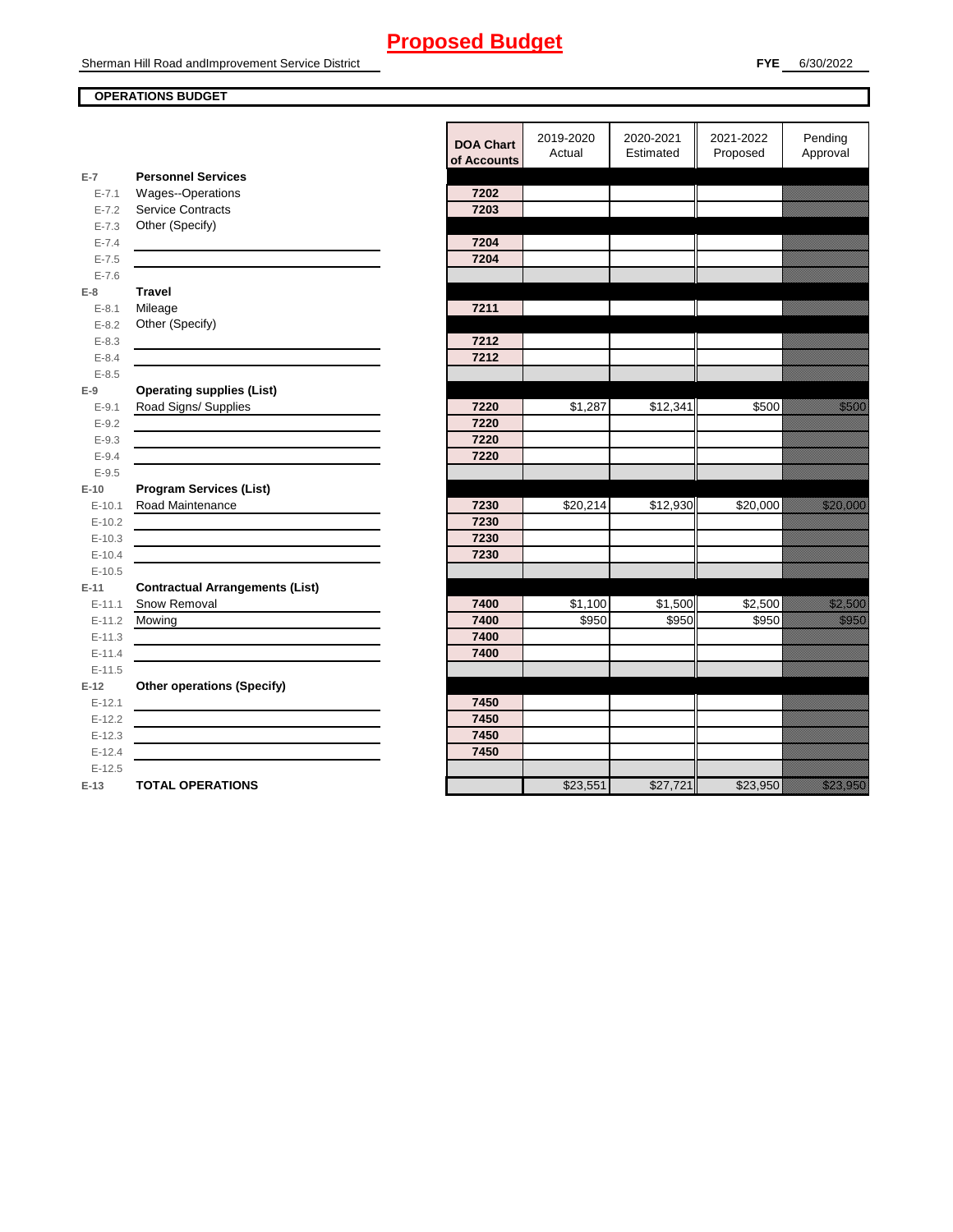### **OPERATIONS BUDGET**

**E-7**

**E-8 Travel**

**E-9**

**E-10**

**E-11 Contractual Arrangements (List)** 

**E-12 Other operations (Specify)** 

|            |                                        | <b>DOA Chart</b><br>of Accounts | 2019-2020<br>Actual | 2020-2021<br>Estimated | 2021-2022<br>Proposed | Pending<br>Approval                                                                                                                                                                                                              |
|------------|----------------------------------------|---------------------------------|---------------------|------------------------|-----------------------|----------------------------------------------------------------------------------------------------------------------------------------------------------------------------------------------------------------------------------|
| $E-7$      | <b>Personnel Services</b>              |                                 |                     |                        |                       |                                                                                                                                                                                                                                  |
| $E - 7.1$  | <b>Wages--Operations</b>               | 7202                            |                     |                        |                       |                                                                                                                                                                                                                                  |
| $E - 7.2$  | <b>Service Contracts</b>               | 7203                            |                     |                        |                       |                                                                                                                                                                                                                                  |
| $E - 7.3$  | Other (Specify)                        |                                 |                     |                        |                       |                                                                                                                                                                                                                                  |
| $E - 7.4$  |                                        | 7204                            |                     |                        |                       |                                                                                                                                                                                                                                  |
| $E - 7.5$  |                                        | 7204                            |                     |                        |                       |                                                                                                                                                                                                                                  |
| $E - 7.6$  |                                        |                                 |                     |                        |                       |                                                                                                                                                                                                                                  |
| E-8        | <b>Travel</b>                          |                                 |                     |                        |                       |                                                                                                                                                                                                                                  |
| $E - 8.1$  | Mileage                                | 7211                            |                     |                        |                       |                                                                                                                                                                                                                                  |
| $E - 8.2$  | Other (Specify)                        |                                 |                     |                        |                       |                                                                                                                                                                                                                                  |
| $E - 8.3$  |                                        | 7212                            |                     |                        |                       |                                                                                                                                                                                                                                  |
| $E - 8.4$  |                                        | 7212                            |                     |                        |                       |                                                                                                                                                                                                                                  |
| $E - 8.5$  |                                        |                                 |                     |                        |                       |                                                                                                                                                                                                                                  |
| $E-9$      | <b>Operating supplies (List)</b>       |                                 |                     |                        |                       |                                                                                                                                                                                                                                  |
| $E-9.1$    | Road Signs/ Supplies                   | 7220                            | \$1,287             | \$12,341               | \$500                 | <u> Karatifu</u>                                                                                                                                                                                                                 |
| $E - 9.2$  |                                        | 7220                            |                     |                        |                       |                                                                                                                                                                                                                                  |
| $E - 9.3$  |                                        | 7220                            |                     |                        |                       |                                                                                                                                                                                                                                  |
| $E - 9.4$  |                                        | 7220                            |                     |                        |                       |                                                                                                                                                                                                                                  |
| $E - 9.5$  |                                        |                                 |                     |                        |                       |                                                                                                                                                                                                                                  |
| $E-10$     | <b>Program Services (List)</b>         |                                 |                     |                        |                       |                                                                                                                                                                                                                                  |
| $E-10.1$   | Road Maintenance                       | 7230                            | \$20,214            | \$12,930               | \$20,000              | <u> Karl Sara</u>                                                                                                                                                                                                                |
| $E-10.2$   |                                        | 7230                            |                     |                        |                       |                                                                                                                                                                                                                                  |
| $E-10.3$   |                                        | 7230                            |                     |                        |                       |                                                                                                                                                                                                                                  |
| $E-10.4$   |                                        | 7230                            |                     |                        |                       |                                                                                                                                                                                                                                  |
| $E-10.5$   |                                        |                                 |                     |                        |                       |                                                                                                                                                                                                                                  |
| $E-11$     | <b>Contractual Arrangements (List)</b> |                                 |                     |                        |                       |                                                                                                                                                                                                                                  |
| $E - 11.1$ | Snow Removal                           | 7400                            | \$1,100             | \$1,500                | \$2,500               | <u>tionalisest on ko</u>                                                                                                                                                                                                         |
| $E-11.2$   | Mowing                                 | 7400                            | \$950               | \$950                  | \$950                 | <u>tional</u>                                                                                                                                                                                                                    |
| $E - 11.3$ |                                        | 7400                            |                     |                        |                       |                                                                                                                                                                                                                                  |
| $E-11.4$   |                                        | 7400                            |                     |                        |                       |                                                                                                                                                                                                                                  |
| $E-11.5$   |                                        |                                 |                     |                        |                       |                                                                                                                                                                                                                                  |
| E-12       | <b>Other operations (Specify)</b>      |                                 |                     |                        |                       |                                                                                                                                                                                                                                  |
| $E-12.1$   |                                        | 7450                            |                     |                        |                       |                                                                                                                                                                                                                                  |
| $E-12.2$   |                                        | 7450                            |                     |                        |                       |                                                                                                                                                                                                                                  |
| $E-12.3$   |                                        | 7450                            |                     |                        |                       |                                                                                                                                                                                                                                  |
| $E-12.4$   |                                        | 7450                            |                     |                        |                       |                                                                                                                                                                                                                                  |
| $E-12.5$   |                                        |                                 |                     |                        |                       |                                                                                                                                                                                                                                  |
| $E-13$     | <b>TOTAL OPERATIONS</b>                |                                 | \$23,551            | \$27,721               | \$23,950              | a katika katika katika katika katika katika katika katika katika katika katika katika katika katika katika kat<br>Katika katika katika katika katika katika katika katika katika katika katika katika katika katika katika katik |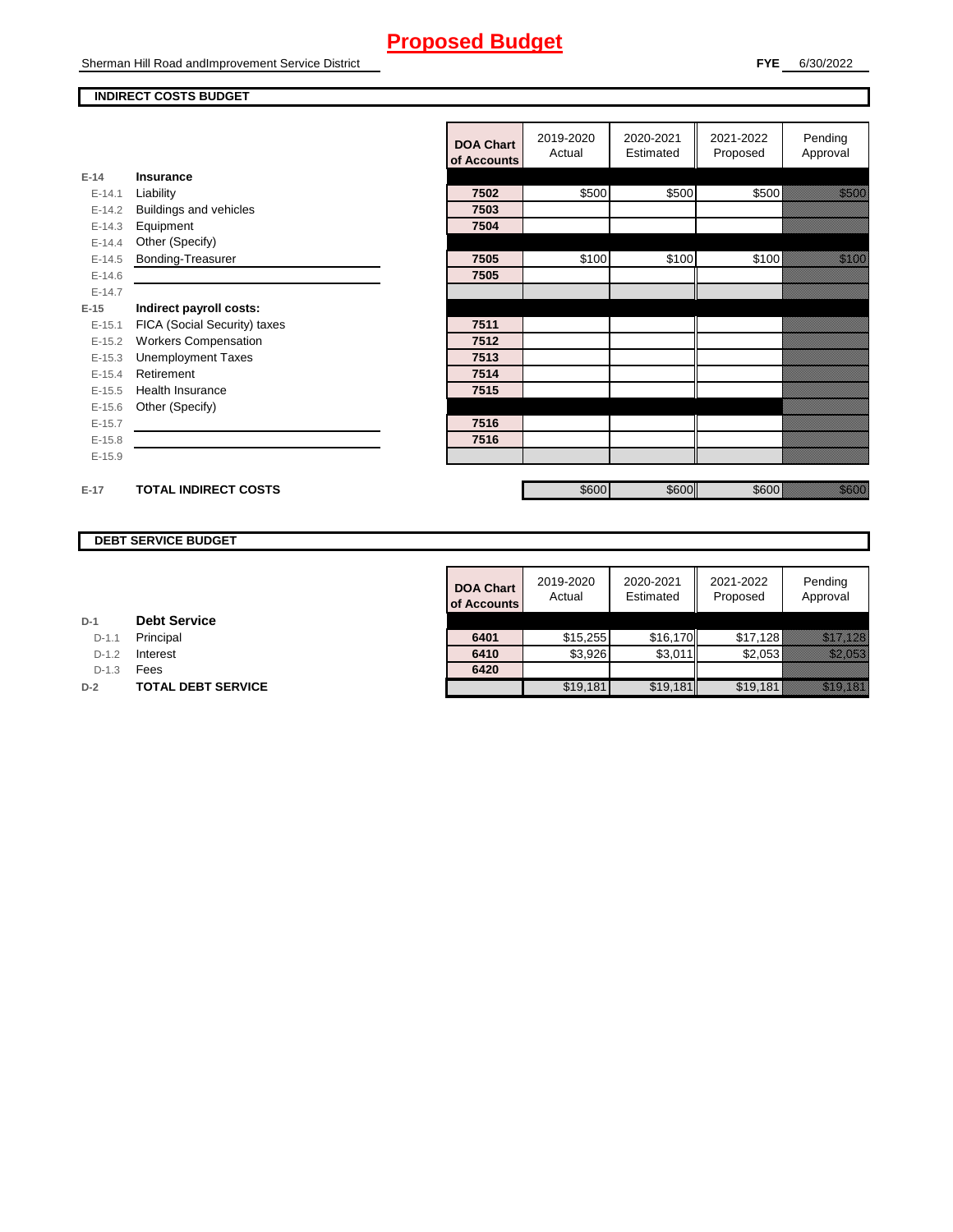Sherman Hill Road andImprovement Service District

#### **INDIRECT COSTS BUDGET**

|          |                              | <b>DOA Chart</b><br>of Accounts | 2019-2020<br>Actual | 2020-2021<br>Estimated | 2021-2022<br>Proposed | Pending<br>Approval                                                                                                                                                                                                             |
|----------|------------------------------|---------------------------------|---------------------|------------------------|-----------------------|---------------------------------------------------------------------------------------------------------------------------------------------------------------------------------------------------------------------------------|
| $E-14$   | Insurance                    |                                 |                     |                        |                       |                                                                                                                                                                                                                                 |
| $E-14.1$ | Liability                    | 7502                            | \$500               | \$500                  | \$500                 | <u>tionalised</u>                                                                                                                                                                                                               |
| $E-14.2$ | Buildings and vehicles       | 7503                            |                     |                        |                       |                                                                                                                                                                                                                                 |
| $E-14.3$ | Equipment                    | 7504                            |                     |                        |                       |                                                                                                                                                                                                                                 |
| $E-14.4$ | Other (Specify)              |                                 |                     |                        |                       |                                                                                                                                                                                                                                 |
| $E-14.5$ | Bonding-Treasurer            | 7505                            | \$100               | \$100                  | \$100                 | a katika katika katika katika alikuwa na katika alikuwa na katika alikuwa na katika alikuwa na katika alikuwa<br>Katika alikuwa na katika katika alikuwa na katika alikuwa na katika alikuwa na katika alikuwa na katika alikuw |
| $E-14.6$ |                              | 7505                            |                     |                        |                       |                                                                                                                                                                                                                                 |
| $E-14.7$ |                              |                                 |                     |                        |                       |                                                                                                                                                                                                                                 |
| $E-15$   | Indirect payroll costs:      |                                 |                     |                        |                       |                                                                                                                                                                                                                                 |
| $E-15.1$ | FICA (Social Security) taxes | 7511                            |                     |                        |                       |                                                                                                                                                                                                                                 |
| $E-15.2$ | <b>Workers Compensation</b>  | 7512                            |                     |                        |                       |                                                                                                                                                                                                                                 |
| $E-15.3$ | <b>Unemployment Taxes</b>    | 7513                            |                     |                        |                       |                                                                                                                                                                                                                                 |
| $E-15.4$ | Retirement                   | 7514                            |                     |                        |                       |                                                                                                                                                                                                                                 |
| $E-15.5$ | <b>Health Insurance</b>      | 7515                            |                     |                        |                       |                                                                                                                                                                                                                                 |
| $E-15.6$ | Other (Specify)              |                                 |                     |                        |                       |                                                                                                                                                                                                                                 |
| $E-15.7$ |                              | 7516                            |                     |                        |                       |                                                                                                                                                                                                                                 |
| $E-15.8$ |                              | 7516                            |                     |                        |                       |                                                                                                                                                                                                                                 |
| $E-15.9$ |                              |                                 |                     |                        |                       |                                                                                                                                                                                                                                 |
| $E-17$   | <b>TOTAL INDIRECT COSTS</b>  |                                 | \$600               | \$600                  | \$600                 | <u>ti ka</u>                                                                                                                                                                                                                    |
|          |                              |                                 |                     |                        |                       |                                                                                                                                                                                                                                 |

### **DEBT SERVICE BUDGET**

|         |                           | <b>DOA Chart</b><br>of Accounts | 2019-2020<br>Actual | 2020-2021<br>Estimated | 2021-2022<br>Proposed | Pending<br>Approval         |
|---------|---------------------------|---------------------------------|---------------------|------------------------|-----------------------|-----------------------------|
|         | <b>Debt Service</b>       |                                 |                     |                        |                       |                             |
| $D-1.1$ | Principal                 | 6401                            | \$15,255            | \$16.170               | \$17,128              | <u> Mikroen (Maria Sant</u> |
| $D-1.2$ | Interest                  | 6410                            | \$3,926             | \$3,011                | \$2,053               | <u>tik alaman ka</u>        |
| $D-1.3$ | Fees                      | 6420                            |                     |                        |                       |                             |
|         | <b>TOTAL DEBT SERVICE</b> |                                 | \$19,181            | \$19,181               | \$19,181              | <u>ika ka</u>               |

D-1.1 **Principal** 

D-1.3 **Fees** 

**D-2 TOTAL DEBT SERVICE**